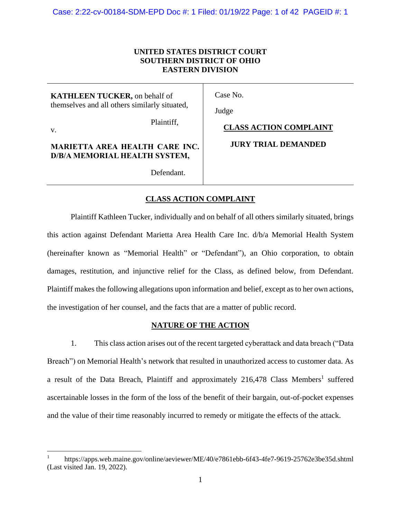# **UNITED STATES DISTRICT COURT SOUTHERN DISTRICT OF OHIO EASTERN DIVISION**

**KATHLEEN TUCKER,** on behalf of themselves and all others similarly situated,

v.

Case No.

Judge

Plaintiff,

**CLASS ACTION COMPLAINT**

# **MARIETTA AREA HEALTH CARE INC. D/B/A MEMORIAL HEALTH SYSTEM,**

Defendant.

# **JURY TRIAL DEMANDED**

# **CLASS ACTION COMPLAINT**

Plaintiff Kathleen Tucker, individually and on behalf of all others similarly situated, brings this action against Defendant Marietta Area Health Care Inc. d/b/a Memorial Health System (hereinafter known as "Memorial Health" or "Defendant"), an Ohio corporation, to obtain damages, restitution, and injunctive relief for the Class, as defined below, from Defendant. Plaintiff makes the following allegations upon information and belief, except as to her own actions, the investigation of her counsel, and the facts that are a matter of public record.

# **NATURE OF THE ACTION**

1. This class action arises out of the recent targeted cyberattack and data breach ("Data Breach") on Memorial Health's network that resulted in unauthorized access to customer data. As a result of the Data Breach, Plaintiff and approximately 216,478 Class Members<sup>1</sup> suffered ascertainable losses in the form of the loss of the benefit of their bargain, out-of-pocket expenses and the value of their time reasonably incurred to remedy or mitigate the effects of the attack.

<sup>1</sup> https://apps.web.maine.gov/online/aeviewer/ME/40/e7861ebb-6f43-4fe7-9619-25762e3be35d.shtml (Last visited Jan. 19, 2022).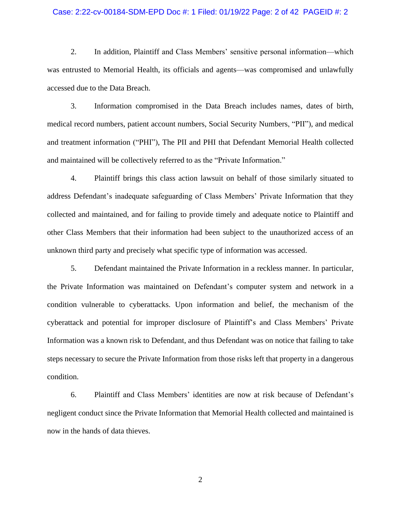## Case: 2:22-cv-00184-SDM-EPD Doc #: 1 Filed: 01/19/22 Page: 2 of 42 PAGEID #: 2

2. In addition, Plaintiff and Class Members' sensitive personal information—which was entrusted to Memorial Health, its officials and agents—was compromised and unlawfully accessed due to the Data Breach.

3. Information compromised in the Data Breach includes names, dates of birth, medical record numbers, patient account numbers, Social Security Numbers, "PII"), and medical and treatment information ("PHI"), The PII and PHI that Defendant Memorial Health collected and maintained will be collectively referred to as the "Private Information."

4. Plaintiff brings this class action lawsuit on behalf of those similarly situated to address Defendant's inadequate safeguarding of Class Members' Private Information that they collected and maintained, and for failing to provide timely and adequate notice to Plaintiff and other Class Members that their information had been subject to the unauthorized access of an unknown third party and precisely what specific type of information was accessed.

5. Defendant maintained the Private Information in a reckless manner. In particular, the Private Information was maintained on Defendant's computer system and network in a condition vulnerable to cyberattacks. Upon information and belief, the mechanism of the cyberattack and potential for improper disclosure of Plaintiff's and Class Members' Private Information was a known risk to Defendant, and thus Defendant was on notice that failing to take steps necessary to secure the Private Information from those risks left that property in a dangerous condition.

6. Plaintiff and Class Members' identities are now at risk because of Defendant's negligent conduct since the Private Information that Memorial Health collected and maintained is now in the hands of data thieves.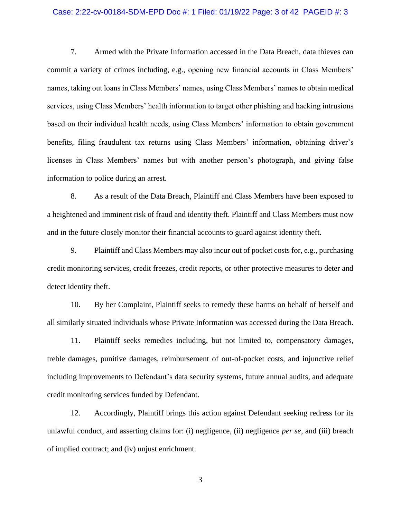#### Case: 2:22-cv-00184-SDM-EPD Doc #: 1 Filed: 01/19/22 Page: 3 of 42 PAGEID #: 3

7. Armed with the Private Information accessed in the Data Breach, data thieves can commit a variety of crimes including, e.g., opening new financial accounts in Class Members' names, taking out loans in Class Members' names, using Class Members' names to obtain medical services, using Class Members' health information to target other phishing and hacking intrusions based on their individual health needs, using Class Members' information to obtain government benefits, filing fraudulent tax returns using Class Members' information, obtaining driver's licenses in Class Members' names but with another person's photograph, and giving false information to police during an arrest.

8. As a result of the Data Breach, Plaintiff and Class Members have been exposed to a heightened and imminent risk of fraud and identity theft. Plaintiff and Class Members must now and in the future closely monitor their financial accounts to guard against identity theft.

9. Plaintiff and Class Members may also incur out of pocket costs for, e.g., purchasing credit monitoring services, credit freezes, credit reports, or other protective measures to deter and detect identity theft.

10. By her Complaint, Plaintiff seeks to remedy these harms on behalf of herself and all similarly situated individuals whose Private Information was accessed during the Data Breach.

11. Plaintiff seeks remedies including, but not limited to, compensatory damages, treble damages, punitive damages, reimbursement of out-of-pocket costs, and injunctive relief including improvements to Defendant's data security systems, future annual audits, and adequate credit monitoring services funded by Defendant.

12. Accordingly, Plaintiff brings this action against Defendant seeking redress for its unlawful conduct, and asserting claims for: (i) negligence, (ii) negligence *per se*, and (iii) breach of implied contract; and (iv) unjust enrichment.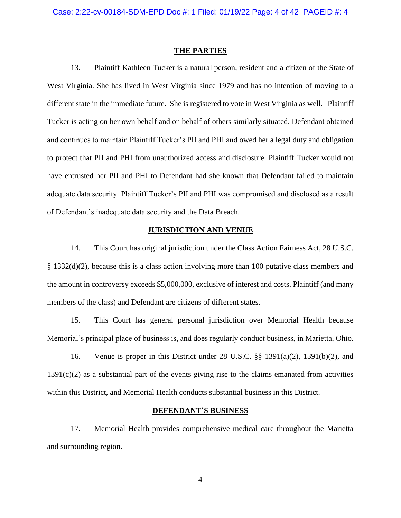#### **THE PARTIES**

13. Plaintiff Kathleen Tucker is a natural person, resident and a citizen of the State of West Virginia. She has lived in West Virginia since 1979 and has no intention of moving to a different state in the immediate future. She is registered to vote in West Virginia as well. Plaintiff Tucker is acting on her own behalf and on behalf of others similarly situated. Defendant obtained and continues to maintain Plaintiff Tucker's PII and PHI and owed her a legal duty and obligation to protect that PII and PHI from unauthorized access and disclosure. Plaintiff Tucker would not have entrusted her PII and PHI to Defendant had she known that Defendant failed to maintain adequate data security. Plaintiff Tucker's PII and PHI was compromised and disclosed as a result of Defendant's inadequate data security and the Data Breach.

# **JURISDICTION AND VENUE**

14. This Court has original jurisdiction under the Class Action Fairness Act, 28 U.S.C. § 1332(d)(2), because this is a class action involving more than 100 putative class members and the amount in controversy exceeds \$5,000,000, exclusive of interest and costs. Plaintiff (and many members of the class) and Defendant are citizens of different states.

15. This Court has general personal jurisdiction over Memorial Health because Memorial's principal place of business is, and does regularly conduct business, in Marietta, Ohio.

16. Venue is proper in this District under 28 U.S.C. §§ 1391(a)(2), 1391(b)(2), and  $1391(c)(2)$  as a substantial part of the events giving rise to the claims emanated from activities within this District, and Memorial Health conducts substantial business in this District.

## **DEFENDANT'S BUSINESS**

17. Memorial Health provides comprehensive medical care throughout the Marietta and surrounding region.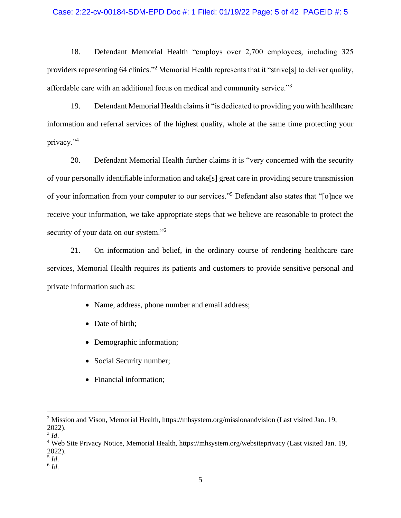## Case: 2:22-cv-00184-SDM-EPD Doc #: 1 Filed: 01/19/22 Page: 5 of 42 PAGEID #: 5

18. Defendant Memorial Health "employs over 2,700 employees, including 325 providers representing 64 clinics."<sup>2</sup> Memorial Health represents that it "strive<sup>[s]</sup> to deliver quality, affordable care with an additional focus on medical and community service."<sup>3</sup>

19. Defendant Memorial Health claims it "is dedicated to providing you with healthcare information and referral services of the highest quality, whole at the same time protecting your privacy."<sup>4</sup>

20. Defendant Memorial Health further claims it is "very concerned with the security of your personally identifiable information and take[s] great care in providing secure transmission of your information from your computer to our services."<sup>5</sup> Defendant also states that "[o]nce we receive your information, we take appropriate steps that we believe are reasonable to protect the security of your data on our system."<sup>6</sup>

21. On information and belief, in the ordinary course of rendering healthcare care services, Memorial Health requires its patients and customers to provide sensitive personal and private information such as:

- Name, address, phone number and email address;
- Date of birth;
- Demographic information;
- Social Security number;
- Financial information;

5 *Id*.

<sup>&</sup>lt;sup>2</sup> Mission and Vison, Memorial Health, https://mhsystem.org/missionandvision (Last visited Jan. 19, 2022).

<sup>3</sup> *Id*.

<sup>4</sup> Web Site Privacy Notice, Memorial Health, https://mhsystem.org/websiteprivacy (Last visited Jan. 19, 2022).

<sup>6</sup> *Id*.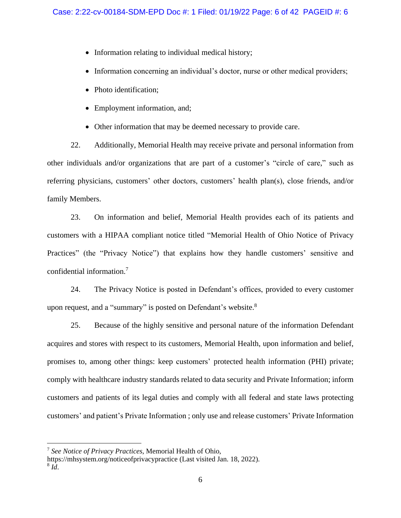- Information relating to individual medical history;
- Information concerning an individual's doctor, nurse or other medical providers;
- Photo identification;
- Employment information, and;
- Other information that may be deemed necessary to provide care.

22. Additionally, Memorial Health may receive private and personal information from other individuals and/or organizations that are part of a customer's "circle of care," such as referring physicians, customers' other doctors, customers' health plan(s), close friends, and/or family Members.

23. On information and belief, Memorial Health provides each of its patients and customers with a HIPAA compliant notice titled "Memorial Health of Ohio Notice of Privacy Practices" (the "Privacy Notice") that explains how they handle customers' sensitive and confidential information.<sup>7</sup>

24. The Privacy Notice is posted in Defendant's offices, provided to every customer upon request, and a "summary" is posted on Defendant's website.<sup>8</sup>

25. Because of the highly sensitive and personal nature of the information Defendant acquires and stores with respect to its customers, Memorial Health, upon information and belief, promises to, among other things: keep customers' protected health information (PHI) private; comply with healthcare industry standards related to data security and Private Information; inform customers and patients of its legal duties and comply with all federal and state laws protecting customers' and patient's Private Information ; only use and release customers' Private Information

<sup>7</sup> *See Notice of Privacy Practices*, Memorial Health of Ohio,

https://mhsystem.org/noticeofprivacypractice (Last visited Jan. 18, 2022).

<sup>8</sup> *Id*.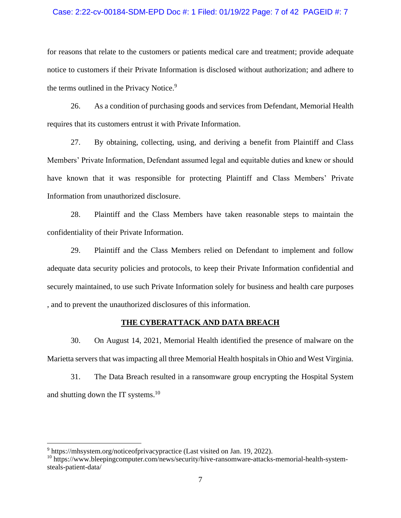## Case: 2:22-cv-00184-SDM-EPD Doc #: 1 Filed: 01/19/22 Page: 7 of 42 PAGEID #: 7

for reasons that relate to the customers or patients medical care and treatment; provide adequate notice to customers if their Private Information is disclosed without authorization; and adhere to the terms outlined in the Privacy Notice.<sup>9</sup>

26. As a condition of purchasing goods and services from Defendant, Memorial Health requires that its customers entrust it with Private Information.

27. By obtaining, collecting, using, and deriving a benefit from Plaintiff and Class Members' Private Information, Defendant assumed legal and equitable duties and knew or should have known that it was responsible for protecting Plaintiff and Class Members' Private Information from unauthorized disclosure.

28. Plaintiff and the Class Members have taken reasonable steps to maintain the confidentiality of their Private Information.

29. Plaintiff and the Class Members relied on Defendant to implement and follow adequate data security policies and protocols, to keep their Private Information confidential and securely maintained, to use such Private Information solely for business and health care purposes , and to prevent the unauthorized disclosures of this information.

#### **THE CYBERATTACK AND DATA BREACH**

30. On August 14, 2021, Memorial Health identified the presence of malware on the Marietta serversthat was impacting all three Memorial Health hospitals in Ohio and West Virginia.

31. The Data Breach resulted in a ransomware group encrypting the Hospital System and shutting down the IT systems.<sup>10</sup>

<sup>&</sup>lt;sup>9</sup> https://mhsystem.org/noticeofprivacypractice (Last visited on Jan. 19, 2022).

<sup>&</sup>lt;sup>10</sup> https://www.bleepingcomputer.com/news/security/hive-ransomware-attacks-memorial-health-systemsteals-patient-data/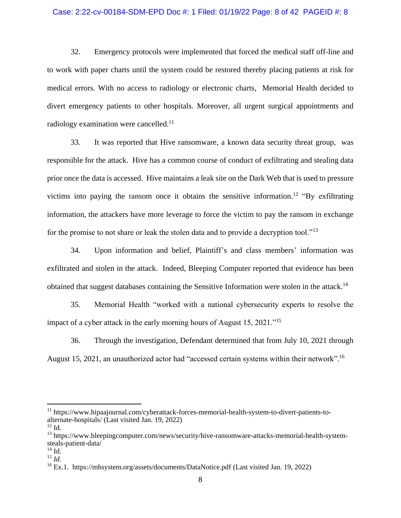## Case: 2:22-cv-00184-SDM-EPD Doc #: 1 Filed: 01/19/22 Page: 8 of 42 PAGEID #: 8

32. Emergency protocols were implemented that forced the medical staff off-line and to work with paper charts until the system could be restored thereby placing patients at risk for medical errors. With no access to radiology or electronic charts, Memorial Health decided to divert emergency patients to other hospitals. Moreover, all urgent surgical appointments and radiology examination were cancelled.<sup>11</sup>

33. It was reported that Hive ransomware, a known data security threat group, was responsible for the attack. Hive has a common course of conduct of exfiltrating and stealing data prior once the data is accessed. Hive maintains a leak site on the Dark Web that is used to pressure victims into paying the ransom once it obtains the sensitive information.<sup>12</sup> "By exfiltrating information, the attackers have more leverage to force the victim to pay the ransom in exchange for the promise to not share or leak the stolen data and to provide a decryption tool."<sup>13</sup>

34. Upon information and belief, Plaintiff's and class members' information was exfiltrated and stolen in the attack. Indeed, Bleeping Computer reported that evidence has been obtained that suggest databases containing the Sensitive Information were stolen in the attack.<sup>14</sup>

35. Memorial Health "worked with a national cybersecurity experts to resolve the impact of a cyber attack in the early morning hours of August 15, 2021."<sup>15</sup>

36. Through the investigation, Defendant determined that from July 10, 2021 through August 15, 2021, an unauthorized actor had "accessed certain systems within their network".<sup>16</sup>

<sup>11</sup> https://www.hipaajournal.com/cyberattack-forces-memorial-health-system-to-divert-patients-toalternate-hospitals/ (Last visited Jan. 19, 2022)

 $12$  Id.

<sup>&</sup>lt;sup>13</sup> https://www.bleepingcomputer.com/news/security/hive-ransomware-attacks-memorial-health-systemsteals-patient-data/

 $14$  Id.

<sup>15</sup> *Id.*

<sup>&</sup>lt;sup>16</sup> Ex.1. https://mhsystem.org/assets/documents/DataNotice.pdf (Last visited Jan. 19, 2022)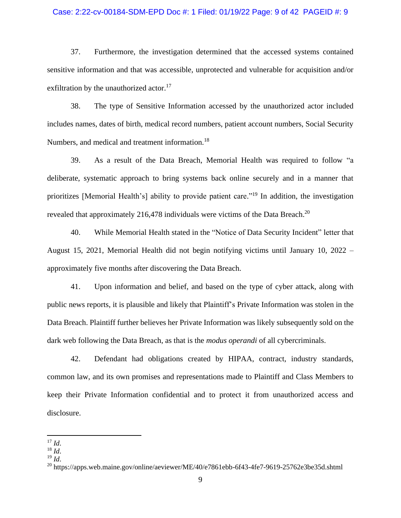## Case: 2:22-cv-00184-SDM-EPD Doc #: 1 Filed: 01/19/22 Page: 9 of 42 PAGEID #: 9

37. Furthermore, the investigation determined that the accessed systems contained sensitive information and that was accessible, unprotected and vulnerable for acquisition and/or exfiltration by the unauthorized actor.<sup>17</sup>

38. The type of Sensitive Information accessed by the unauthorized actor included includes names, dates of birth, medical record numbers, patient account numbers, Social Security Numbers, and medical and treatment information.<sup>18</sup>

39. As a result of the Data Breach, Memorial Health was required to follow "a deliberate, systematic approach to bring systems back online securely and in a manner that prioritizes [Memorial Health's] ability to provide patient care."<sup>19</sup> In addition, the investigation revealed that approximately 216,478 individuals were victims of the Data Breach.<sup>20</sup>

40. While Memorial Health stated in the "Notice of Data Security Incident" letter that August 15, 2021, Memorial Health did not begin notifying victims until January 10, 2022 – approximately five months after discovering the Data Breach.

41. Upon information and belief, and based on the type of cyber attack, along with public news reports, it is plausible and likely that Plaintiff's Private Information was stolen in the Data Breach. Plaintiff further believes her Private Information was likely subsequently sold on the dark web following the Data Breach, as that is the *modus operandi* of all cybercriminals.

42. Defendant had obligations created by HIPAA, contract, industry standards, common law, and its own promises and representations made to Plaintiff and Class Members to keep their Private Information confidential and to protect it from unauthorized access and disclosure.

 $^{17}$  *Id.* 

 $^{18}$   $\overline{1}d$ .

 $^{19}$  *Id.* 

 $^{20}$  https://apps.web.maine.gov/online/aeviewer/ME/40/e7861ebb-6f43-4fe7-9619-25762e3be35d.shtml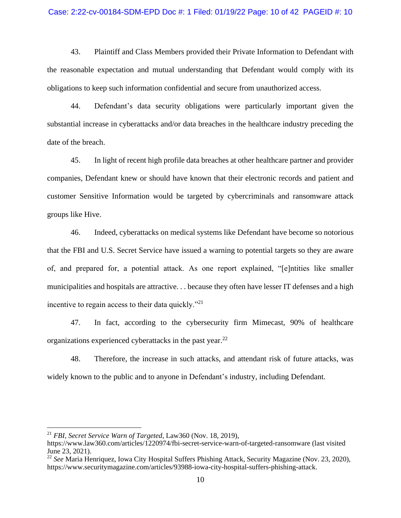#### Case: 2:22-cv-00184-SDM-EPD Doc #: 1 Filed: 01/19/22 Page: 10 of 42 PAGEID #: 10

43. Plaintiff and Class Members provided their Private Information to Defendant with the reasonable expectation and mutual understanding that Defendant would comply with its obligations to keep such information confidential and secure from unauthorized access.

44. Defendant's data security obligations were particularly important given the substantial increase in cyberattacks and/or data breaches in the healthcare industry preceding the date of the breach.

45. In light of recent high profile data breaches at other healthcare partner and provider companies, Defendant knew or should have known that their electronic records and patient and customer Sensitive Information would be targeted by cybercriminals and ransomware attack groups like Hive.

46. Indeed, cyberattacks on medical systems like Defendant have become so notorious that the FBI and U.S. Secret Service have issued a warning to potential targets so they are aware of, and prepared for, a potential attack. As one report explained, "[e]ntities like smaller municipalities and hospitals are attractive. . . because they often have lesser IT defenses and a high incentive to regain access to their data quickly."<sup>21</sup>

47. In fact, according to the cybersecurity firm Mimecast, 90% of healthcare organizations experienced cyberattacks in the past year.<sup>22</sup>

48. Therefore, the increase in such attacks, and attendant risk of future attacks, was widely known to the public and to anyone in Defendant's industry, including Defendant.

<sup>21</sup> *FBI, Secret Service Warn of Targeted*, Law360 (Nov. 18, 2019),

https://www.law360.com/articles/1220974/fbi-secret-service-warn-of-targeted-ransomware (last visited June 23, 2021).

<sup>22</sup> *See* Maria Henriquez, Iowa City Hospital Suffers Phishing Attack, Security Magazine (Nov. 23, 2020), https://www.securitymagazine.com/articles/93988-iowa-city-hospital-suffers-phishing-attack.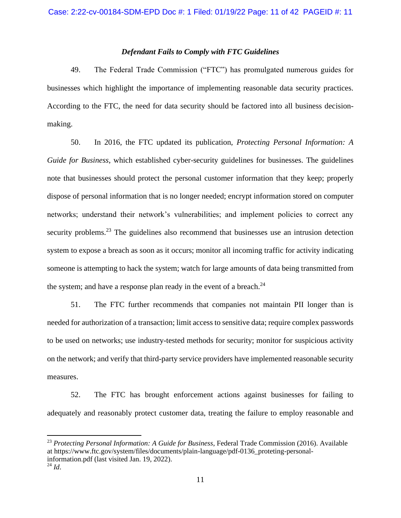# *Defendant Fails to Comply with FTC Guidelines*

49. The Federal Trade Commission ("FTC") has promulgated numerous guides for businesses which highlight the importance of implementing reasonable data security practices. According to the FTC, the need for data security should be factored into all business decisionmaking.

50. In 2016, the FTC updated its publication, *Protecting Personal Information: A Guide for Business*, which established cyber-security guidelines for businesses. The guidelines note that businesses should protect the personal customer information that they keep; properly dispose of personal information that is no longer needed; encrypt information stored on computer networks; understand their network's vulnerabilities; and implement policies to correct any security problems.<sup>23</sup> The guidelines also recommend that businesses use an intrusion detection system to expose a breach as soon as it occurs; monitor all incoming traffic for activity indicating someone is attempting to hack the system; watch for large amounts of data being transmitted from the system; and have a response plan ready in the event of a breach. $^{24}$ 

51. The FTC further recommends that companies not maintain PII longer than is needed for authorization of a transaction; limit access to sensitive data; require complex passwords to be used on networks; use industry-tested methods for security; monitor for suspicious activity on the network; and verify that third-party service providers have implemented reasonable security measures.

52. The FTC has brought enforcement actions against businesses for failing to adequately and reasonably protect customer data, treating the failure to employ reasonable and

<sup>23</sup> *Protecting Personal Information: A Guide for Business*, Federal Trade Commission (2016). Available at https://www.ftc.gov/system/files/documents/plain-language/pdf-0136\_proteting-personalinformation.pdf (last visited Jan. 19, 2022).

 $^{24}$  *Id.*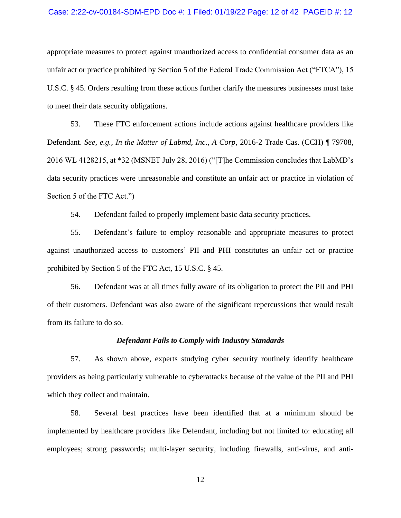### Case: 2:22-cv-00184-SDM-EPD Doc #: 1 Filed: 01/19/22 Page: 12 of 42 PAGEID #: 12

appropriate measures to protect against unauthorized access to confidential consumer data as an unfair act or practice prohibited by Section 5 of the Federal Trade Commission Act ("FTCA"), 15 U.S.C. § 45. Orders resulting from these actions further clarify the measures businesses must take to meet their data security obligations.

53. These FTC enforcement actions include actions against healthcare providers like Defendant. *See, e.g., In the Matter of Labmd, Inc., A Corp*, 2016-2 Trade Cas. (CCH) ¶ 79708, 2016 WL 4128215, at \*32 (MSNET July 28, 2016) ("[T]he Commission concludes that LabMD's data security practices were unreasonable and constitute an unfair act or practice in violation of Section 5 of the FTC Act.")

54. Defendant failed to properly implement basic data security practices.

55. Defendant's failure to employ reasonable and appropriate measures to protect against unauthorized access to customers' PII and PHI constitutes an unfair act or practice prohibited by Section 5 of the FTC Act, 15 U.S.C. § 45.

56. Defendant was at all times fully aware of its obligation to protect the PII and PHI of their customers. Defendant was also aware of the significant repercussions that would result from its failure to do so.

#### *Defendant Fails to Comply with Industry Standards*

57. As shown above, experts studying cyber security routinely identify healthcare providers as being particularly vulnerable to cyberattacks because of the value of the PII and PHI which they collect and maintain.

58. Several best practices have been identified that at a minimum should be implemented by healthcare providers like Defendant, including but not limited to: educating all employees; strong passwords; multi-layer security, including firewalls, anti-virus, and anti-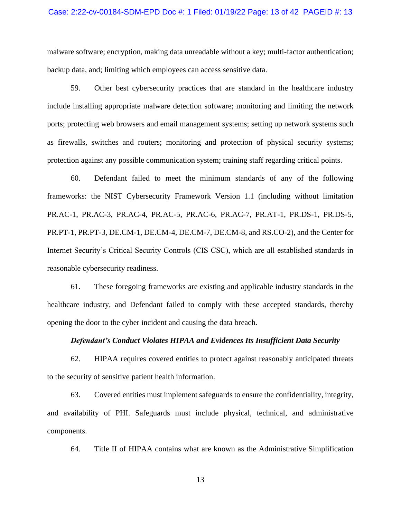## Case: 2:22-cv-00184-SDM-EPD Doc #: 1 Filed: 01/19/22 Page: 13 of 42 PAGEID #: 13

malware software; encryption, making data unreadable without a key; multi-factor authentication; backup data, and; limiting which employees can access sensitive data.

59. Other best cybersecurity practices that are standard in the healthcare industry include installing appropriate malware detection software; monitoring and limiting the network ports; protecting web browsers and email management systems; setting up network systems such as firewalls, switches and routers; monitoring and protection of physical security systems; protection against any possible communication system; training staff regarding critical points.

60. Defendant failed to meet the minimum standards of any of the following frameworks: the NIST Cybersecurity Framework Version 1.1 (including without limitation PR.AC-1, PR.AC-3, PR.AC-4, PR.AC-5, PR.AC-6, PR.AC-7, PR.AT-1, PR.DS-1, PR.DS-5, PR.PT-1, PR.PT-3, DE.CM-1, DE.CM-4, DE.CM-7, DE.CM-8, and RS.CO-2), and the Center for Internet Security's Critical Security Controls (CIS CSC), which are all established standards in reasonable cybersecurity readiness.

61. These foregoing frameworks are existing and applicable industry standards in the healthcare industry, and Defendant failed to comply with these accepted standards, thereby opening the door to the cyber incident and causing the data breach.

# *Defendant's Conduct Violates HIPAA and Evidences Its Insufficient Data Security*

62. HIPAA requires covered entities to protect against reasonably anticipated threats to the security of sensitive patient health information.

63. Covered entities must implement safeguards to ensure the confidentiality, integrity, and availability of PHI. Safeguards must include physical, technical, and administrative components.

64. Title II of HIPAA contains what are known as the Administrative Simplification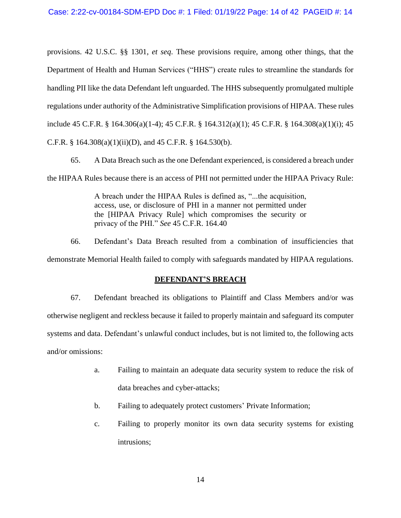provisions. 42 U.S.C. §§ 1301, *et seq*. These provisions require, among other things, that the Department of Health and Human Services ("HHS") create rules to streamline the standards for handling PII like the data Defendant left unguarded. The HHS subsequently promulgated multiple regulations under authority of the Administrative Simplification provisions of HIPAA. These rules include 45 C.F.R. § 164.306(a)(1-4); 45 C.F.R. § 164.312(a)(1); 45 C.F.R. § 164.308(a)(1)(i); 45 C.F.R. § 164.308(a)(1)(ii)(D), and 45 C.F.R. § 164.530(b).

65. A Data Breach such as the one Defendant experienced, is considered a breach under the HIPAA Rules because there is an access of PHI not permitted under the HIPAA Privacy Rule:

> A breach under the HIPAA Rules is defined as, "...the acquisition, access, use, or disclosure of PHI in a manner not permitted under the [HIPAA Privacy Rule] which compromises the security or privacy of the PHI." *See* 45 C.F.R. 164.40

66. Defendant's Data Breach resulted from a combination of insufficiencies that demonstrate Memorial Health failed to comply with safeguards mandated by HIPAA regulations.

# **DEFENDANT'S BREACH**

67. Defendant breached its obligations to Plaintiff and Class Members and/or was otherwise negligent and reckless because it failed to properly maintain and safeguard its computer systems and data. Defendant's unlawful conduct includes, but is not limited to, the following acts and/or omissions:

- a. Failing to maintain an adequate data security system to reduce the risk of data breaches and cyber-attacks;
- b. Failing to adequately protect customers' Private Information;
- c. Failing to properly monitor its own data security systems for existing intrusions;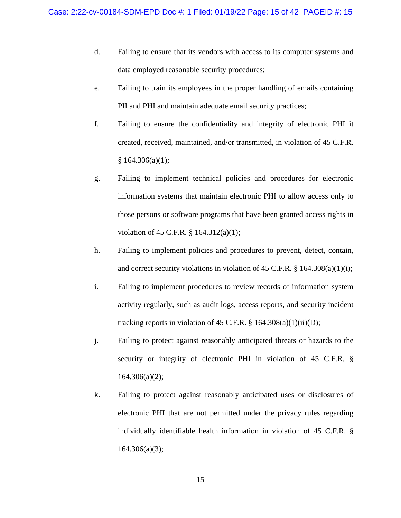- d. Failing to ensure that its vendors with access to its computer systems and data employed reasonable security procedures;
- e. Failing to train its employees in the proper handling of emails containing PII and PHI and maintain adequate email security practices;
- f. Failing to ensure the confidentiality and integrity of electronic PHI it created, received, maintained, and/or transmitted, in violation of 45 C.F.R.  $§ 164.306(a)(1);$
- g. Failing to implement technical policies and procedures for electronic information systems that maintain electronic PHI to allow access only to those persons or software programs that have been granted access rights in violation of 45 C.F.R. § 164.312(a)(1);
- h. Failing to implement policies and procedures to prevent, detect, contain, and correct security violations in violation of 45 C.F.R. § 164.308(a)(1)(i);
- i. Failing to implement procedures to review records of information system activity regularly, such as audit logs, access reports, and security incident tracking reports in violation of 45 C.F.R.  $\S$  164.308(a)(1)(ii)(D);
- j. Failing to protect against reasonably anticipated threats or hazards to the security or integrity of electronic PHI in violation of 45 C.F.R. § 164.306(a)(2);
- k. Failing to protect against reasonably anticipated uses or disclosures of electronic PHI that are not permitted under the privacy rules regarding individually identifiable health information in violation of 45 C.F.R. § 164.306(a)(3);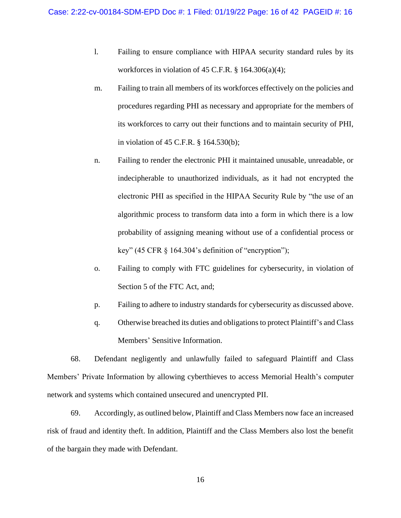- l. Failing to ensure compliance with HIPAA security standard rules by its workforces in violation of 45 C.F.R.  $\S$  164.306(a)(4);
- m. Failing to train all members of its workforces effectively on the policies and procedures regarding PHI as necessary and appropriate for the members of its workforces to carry out their functions and to maintain security of PHI, in violation of 45 C.F.R. § 164.530(b);
- n. Failing to render the electronic PHI it maintained unusable, unreadable, or indecipherable to unauthorized individuals, as it had not encrypted the electronic PHI as specified in the HIPAA Security Rule by "the use of an algorithmic process to transform data into a form in which there is a low probability of assigning meaning without use of a confidential process or key" (45 CFR  $\frac{1}{2}$  164.304's definition of "encryption");
- o. Failing to comply with FTC guidelines for cybersecurity, in violation of Section 5 of the FTC Act, and;
- p. Failing to adhere to industry standards for cybersecurity as discussed above.
- q. Otherwise breached its duties and obligations to protect Plaintiff's and Class Members' Sensitive Information.

68. Defendant negligently and unlawfully failed to safeguard Plaintiff and Class Members' Private Information by allowing cyberthieves to access Memorial Health's computer network and systems which contained unsecured and unencrypted PII.

69. Accordingly, as outlined below, Plaintiff and Class Members now face an increased risk of fraud and identity theft. In addition, Plaintiff and the Class Members also lost the benefit of the bargain they made with Defendant.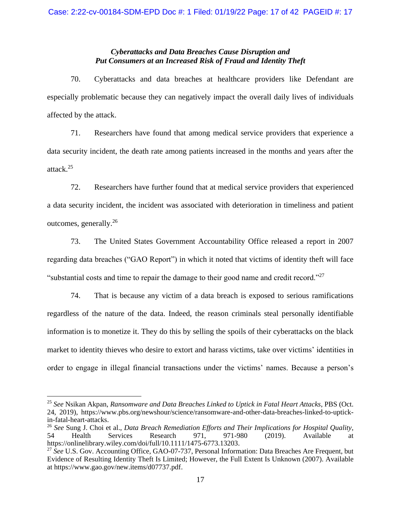# *Cyberattacks and Data Breaches Cause Disruption and Put Consumers at an Increased Risk of Fraud and Identity Theft*

70. Cyberattacks and data breaches at healthcare providers like Defendant are especially problematic because they can negatively impact the overall daily lives of individuals affected by the attack.

71. Researchers have found that among medical service providers that experience a data security incident, the death rate among patients increased in the months and years after the attack.<sup>25</sup>

72. Researchers have further found that at medical service providers that experienced a data security incident, the incident was associated with deterioration in timeliness and patient outcomes, generally.<sup>26</sup>

73. The United States Government Accountability Office released a report in 2007 regarding data breaches ("GAO Report") in which it noted that victims of identity theft will face "substantial costs and time to repair the damage to their good name and credit record."<sup>27</sup>

74. That is because any victim of a data breach is exposed to serious ramifications regardless of the nature of the data. Indeed, the reason criminals steal personally identifiable information is to monetize it. They do this by selling the spoils of their cyberattacks on the black market to identity thieves who desire to extort and harass victims, take over victims' identities in order to engage in illegal financial transactions under the victims' names. Because a person's

<sup>25</sup> *See* Nsikan Akpan, *Ransomware and Data Breaches Linked to Uptick in Fatal Heart Attacks*, PBS (Oct. 24, 2019), https://www.pbs.org/newshour/science/ransomware-and-other-data-breaches-linked-to-uptickin-fatal-heart-attacks.

<sup>26</sup> *See* Sung J. Choi et al., *Data Breach Remediation Efforts and Their Implications for Hospital Quality*, 54 Health Services Research 971, 971-980 (2019). Available at https://onlinelibrary.wiley.com/doi/full/10.1111/1475-6773.13203.

<sup>27</sup> *See* U.S. Gov. Accounting Office, GAO-07-737, Personal Information: Data Breaches Are Frequent, but Evidence of Resulting Identity Theft Is Limited; However, the Full Extent Is Unknown (2007). Available at https://www.gao.gov/new.items/d07737.pdf.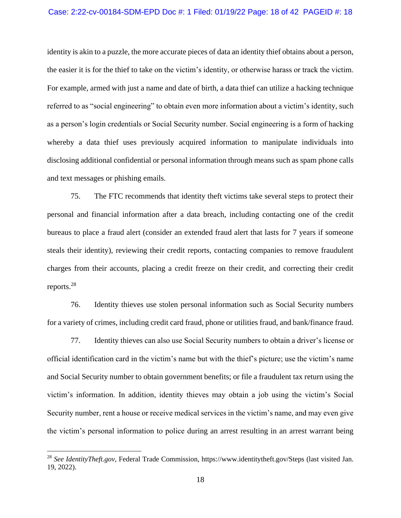#### Case: 2:22-cv-00184-SDM-EPD Doc #: 1 Filed: 01/19/22 Page: 18 of 42 PAGEID #: 18

identity is akin to a puzzle, the more accurate pieces of data an identity thief obtains about a person, the easier it is for the thief to take on the victim's identity, or otherwise harass or track the victim. For example, armed with just a name and date of birth, a data thief can utilize a hacking technique referred to as "social engineering" to obtain even more information about a victim's identity, such as a person's login credentials or Social Security number. Social engineering is a form of hacking whereby a data thief uses previously acquired information to manipulate individuals into disclosing additional confidential or personal information through means such as spam phone calls and text messages or phishing emails.

75. The FTC recommends that identity theft victims take several steps to protect their personal and financial information after a data breach, including contacting one of the credit bureaus to place a fraud alert (consider an extended fraud alert that lasts for 7 years if someone steals their identity), reviewing their credit reports, contacting companies to remove fraudulent charges from their accounts, placing a credit freeze on their credit, and correcting their credit reports.<sup>28</sup>

76. Identity thieves use stolen personal information such as Social Security numbers for a variety of crimes, including credit card fraud, phone or utilities fraud, and bank/finance fraud.

77. Identity thieves can also use Social Security numbers to obtain a driver's license or official identification card in the victim's name but with the thief's picture; use the victim's name and Social Security number to obtain government benefits; or file a fraudulent tax return using the victim's information. In addition, identity thieves may obtain a job using the victim's Social Security number, rent a house or receive medical services in the victim's name, and may even give the victim's personal information to police during an arrest resulting in an arrest warrant being

<sup>28</sup> *See IdentityTheft.gov*, Federal Trade Commission, https://www.identitytheft.gov/Steps (last visited Jan. 19, 2022).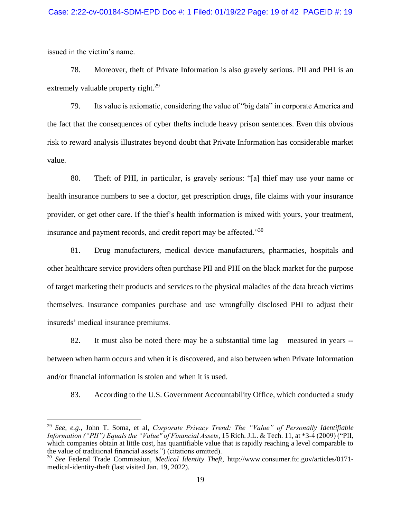issued in the victim's name.

78. Moreover, theft of Private Information is also gravely serious. PII and PHI is an extremely valuable property right. $^{29}$ 

79. Its value is axiomatic, considering the value of "big data" in corporate America and the fact that the consequences of cyber thefts include heavy prison sentences. Even this obvious risk to reward analysis illustrates beyond doubt that Private Information has considerable market value.

80. Theft of PHI, in particular, is gravely serious: "[a] thief may use your name or health insurance numbers to see a doctor, get prescription drugs, file claims with your insurance provider, or get other care. If the thief's health information is mixed with yours, your treatment, insurance and payment records, and credit report may be affected."<sup>30</sup>

81. Drug manufacturers, medical device manufacturers, pharmacies, hospitals and other healthcare service providers often purchase PII and PHI on the black market for the purpose of target marketing their products and services to the physical maladies of the data breach victims themselves. Insurance companies purchase and use wrongfully disclosed PHI to adjust their insureds' medical insurance premiums.

82. It must also be noted there may be a substantial time lag – measured in years - between when harm occurs and when it is discovered, and also between when Private Information and/or financial information is stolen and when it is used.

83. According to the U.S. Government Accountability Office, which conducted a study

<sup>29</sup> *See, e.g*., John T. Soma, et al, *Corporate Privacy Trend: The "Value" of Personally Identifiable Information ("PII") Equals the "Value" of Financial Assets*, 15 Rich. J.L. & Tech. 11, at \*3-4 (2009) ("PII, which companies obtain at little cost, has quantifiable value that is rapidly reaching a level comparable to the value of traditional financial assets.") (citations omitted).

<sup>30</sup> *See* Federal Trade Commission, *Medical Identity Theft*, http://www.consumer.ftc.gov/articles/0171 medical-identity-theft (last visited Jan. 19, 2022).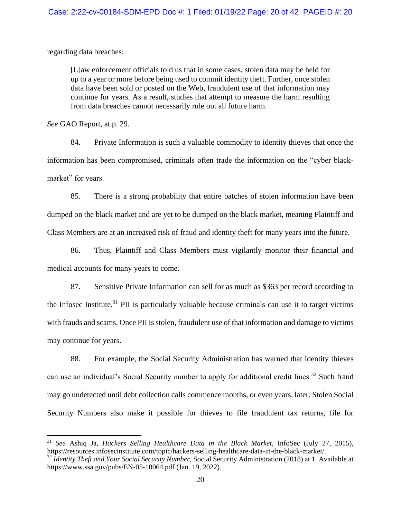regarding data breaches:

[L]aw enforcement officials told us that in some cases, stolen data may be held for up to a year or more before being used to commit identity theft. Further, once stolen data have been sold or posted on the Web, fraudulent use of that information may continue for years. As a result, studies that attempt to measure the harm resulting from data breaches cannot necessarily rule out all future harm.

*See* GAO Report, at p. 29.

84. Private Information is such a valuable commodity to identity thieves that once the information has been compromised, criminals often trade the information on the "cyber blackmarket" for years.

85. There is a strong probability that entire batches of stolen information have been dumped on the black market and are yet to be dumped on the black market, meaning Plaintiff and Class Members are at an increased risk of fraud and identity theft for many years into the future.

86. Thus, Plaintiff and Class Members must vigilantly monitor their financial and medical accounts for many years to come.

87. Sensitive Private Information can sell for as much as \$363 per record according to the Infosec Institute.<sup>31</sup> PII is particularly valuable because criminals can use it to target victims with frauds and scams. Once PII is stolen, fraudulent use of that information and damage to victims may continue for years.

88. For example, the Social Security Administration has warned that identity thieves can use an individual's Social Security number to apply for additional credit lines.<sup>32</sup> Such fraud may go undetected until debt collection calls commence months, or even years, later. Stolen Social Security Numbers also make it possible for thieves to file fraudulent tax returns, file for

<sup>31</sup> *See* Ashiq Ja, *Hackers Selling Healthcare Data in the Black Market*, InfoSec (July 27, 2015), https://resources.infosecinstitute.com/topic/hackers-selling-healthcare-data-in-the-black-market/.

<sup>32</sup> *Identity Theft and Your Social Security Number*, Social Security Administration (2018) at 1. Available at https://www.ssa.gov/pubs/EN-05-10064.pdf (Jan. 19, 2022).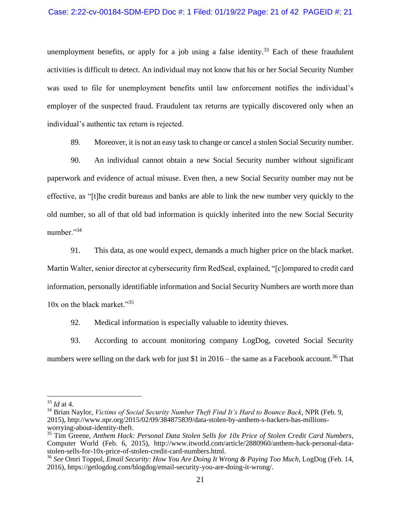## Case: 2:22-cv-00184-SDM-EPD Doc #: 1 Filed: 01/19/22 Page: 21 of 42 PAGEID #: 21

unemployment benefits, or apply for a job using a false identity.<sup>33</sup> Each of these fraudulent activities is difficult to detect. An individual may not know that his or her Social Security Number was used to file for unemployment benefits until law enforcement notifies the individual's employer of the suspected fraud. Fraudulent tax returns are typically discovered only when an individual's authentic tax return is rejected.

89. Moreover, it is not an easy task to change or cancel a stolen Social Security number.

90. An individual cannot obtain a new Social Security number without significant paperwork and evidence of actual misuse. Even then, a new Social Security number may not be effective, as "[t]he credit bureaus and banks are able to link the new number very quickly to the old number, so all of that old bad information is quickly inherited into the new Social Security number."<sup>34</sup>

91. This data, as one would expect, demands a much higher price on the black market. Martin Walter, senior director at cybersecurity firm RedSeal, explained, "[c]ompared to credit card information, personally identifiable information and Social Security Numbers are worth more than 10x on the black market."<sup>35</sup>

92. Medical information is especially valuable to identity thieves.

93. According to account monitoring company LogDog, coveted Social Security numbers were selling on the dark web for just \$1 in  $2016$  – the same as a Facebook account.<sup>36</sup> That

<sup>33</sup> *Id* at 4.

<sup>34</sup> Brian Naylor, *Victims of Social Security Number Theft Find It's Hard to Bounce Back*, NPR (Feb. 9, 2015), http://www.npr.org/2015/02/09/384875839/data-stolen-by-anthem-s-hackers-has-millionsworrying-about-identity-theft.

<sup>35</sup> Tim Greene, *Anthem Hack: Personal Data Stolen Sells for 10x Price of Stolen Credit Card Numbers*, Computer World (Feb. 6, 2015), http://www.itworld.com/article/2880960/anthem-hack-personal-datastolen-sells-for-10x-price-of-stolen-credit-card-numbers.html.

<sup>36</sup> *See* Omri Toppol, *Email Security: How You Are Doing It Wrong & Paying Too Much*, LogDog (Feb. 14, 2016), https://getlogdog.com/blogdog/email-security-you-are-doing-it-wrong/.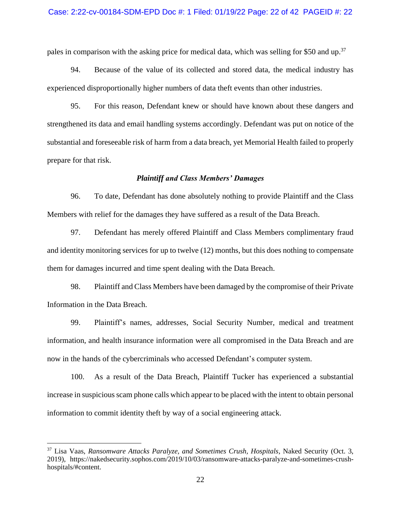## Case: 2:22-cv-00184-SDM-EPD Doc #: 1 Filed: 01/19/22 Page: 22 of 42 PAGEID #: 22

pales in comparison with the asking price for medical data, which was selling for \$50 and up.<sup>37</sup>

94. Because of the value of its collected and stored data, the medical industry has experienced disproportionally higher numbers of data theft events than other industries.

95. For this reason, Defendant knew or should have known about these dangers and strengthened its data and email handling systems accordingly. Defendant was put on notice of the substantial and foreseeable risk of harm from a data breach, yet Memorial Health failed to properly prepare for that risk.

#### *Plaintiff and Class Members' Damages*

96. To date, Defendant has done absolutely nothing to provide Plaintiff and the Class Members with relief for the damages they have suffered as a result of the Data Breach.

97. Defendant has merely offered Plaintiff and Class Members complimentary fraud and identity monitoring services for up to twelve (12) months, but this does nothing to compensate them for damages incurred and time spent dealing with the Data Breach.

98. Plaintiff and Class Members have been damaged by the compromise of their Private Information in the Data Breach.

99. Plaintiff's names, addresses, Social Security Number, medical and treatment information, and health insurance information were all compromised in the Data Breach and are now in the hands of the cybercriminals who accessed Defendant's computer system.

100. As a result of the Data Breach, Plaintiff Tucker has experienced a substantial increase in suspicious scam phone calls which appear to be placed with the intent to obtain personal information to commit identity theft by way of a social engineering attack.

<sup>37</sup> Lisa Vaas, *Ransomware Attacks Paralyze, and Sometimes Crush, Hospitals*, Naked Security (Oct. 3, 2019), https://nakedsecurity.sophos.com/2019/10/03/ransomware-attacks-paralyze-and-sometimes-crushhospitals/#content.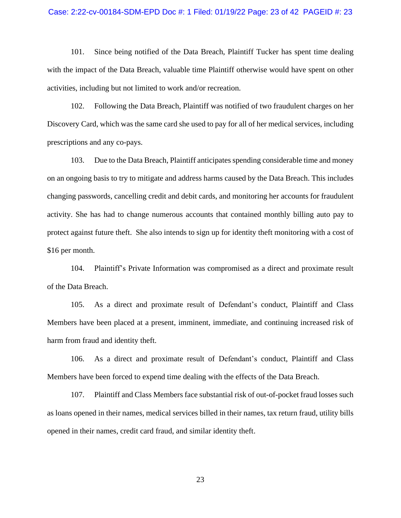#### Case: 2:22-cv-00184-SDM-EPD Doc #: 1 Filed: 01/19/22 Page: 23 of 42 PAGEID #: 23

101. Since being notified of the Data Breach, Plaintiff Tucker has spent time dealing with the impact of the Data Breach, valuable time Plaintiff otherwise would have spent on other activities, including but not limited to work and/or recreation.

102. Following the Data Breach, Plaintiff was notified of two fraudulent charges on her Discovery Card, which was the same card she used to pay for all of her medical services, including prescriptions and any co-pays.

103. Due to the Data Breach, Plaintiff anticipates spending considerable time and money on an ongoing basis to try to mitigate and address harms caused by the Data Breach. This includes changing passwords, cancelling credit and debit cards, and monitoring her accounts for fraudulent activity. She has had to change numerous accounts that contained monthly billing auto pay to protect against future theft. She also intends to sign up for identity theft monitoring with a cost of \$16 per month.

104. Plaintiff's Private Information was compromised as a direct and proximate result of the Data Breach.

105. As a direct and proximate result of Defendant's conduct, Plaintiff and Class Members have been placed at a present, imminent, immediate, and continuing increased risk of harm from fraud and identity theft.

106. As a direct and proximate result of Defendant's conduct, Plaintiff and Class Members have been forced to expend time dealing with the effects of the Data Breach.

107. Plaintiff and Class Members face substantial risk of out-of-pocket fraud losses such as loans opened in their names, medical services billed in their names, tax return fraud, utility bills opened in their names, credit card fraud, and similar identity theft.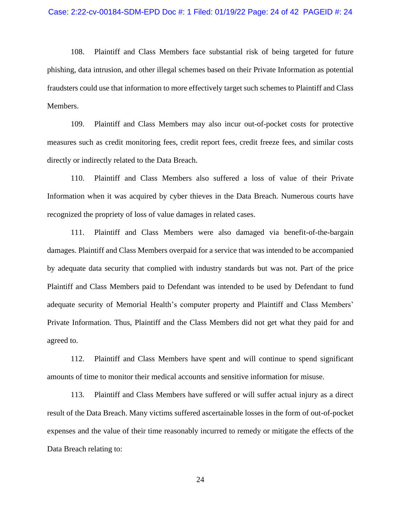108. Plaintiff and Class Members face substantial risk of being targeted for future phishing, data intrusion, and other illegal schemes based on their Private Information as potential fraudsters could use that information to more effectively target such schemes to Plaintiff and Class Members.

109. Plaintiff and Class Members may also incur out-of-pocket costs for protective measures such as credit monitoring fees, credit report fees, credit freeze fees, and similar costs directly or indirectly related to the Data Breach.

110. Plaintiff and Class Members also suffered a loss of value of their Private Information when it was acquired by cyber thieves in the Data Breach. Numerous courts have recognized the propriety of loss of value damages in related cases.

111. Plaintiff and Class Members were also damaged via benefit-of-the-bargain damages. Plaintiff and Class Members overpaid for a service that was intended to be accompanied by adequate data security that complied with industry standards but was not. Part of the price Plaintiff and Class Members paid to Defendant was intended to be used by Defendant to fund adequate security of Memorial Health's computer property and Plaintiff and Class Members' Private Information. Thus, Plaintiff and the Class Members did not get what they paid for and agreed to.

112. Plaintiff and Class Members have spent and will continue to spend significant amounts of time to monitor their medical accounts and sensitive information for misuse.

113. Plaintiff and Class Members have suffered or will suffer actual injury as a direct result of the Data Breach. Many victims suffered ascertainable losses in the form of out-of-pocket expenses and the value of their time reasonably incurred to remedy or mitigate the effects of the Data Breach relating to: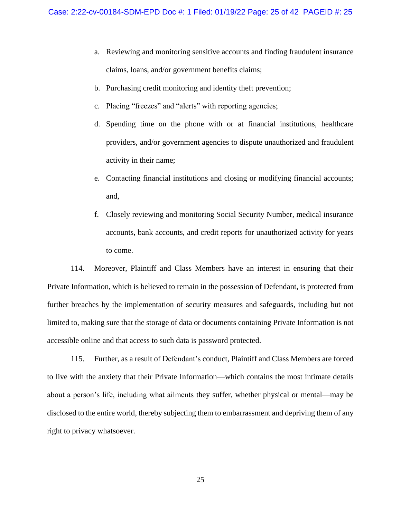- a. Reviewing and monitoring sensitive accounts and finding fraudulent insurance claims, loans, and/or government benefits claims;
- b. Purchasing credit monitoring and identity theft prevention;
- c. Placing "freezes" and "alerts" with reporting agencies;
- d. Spending time on the phone with or at financial institutions, healthcare providers, and/or government agencies to dispute unauthorized and fraudulent activity in their name;
- e. Contacting financial institutions and closing or modifying financial accounts; and,
- f. Closely reviewing and monitoring Social Security Number, medical insurance accounts, bank accounts, and credit reports for unauthorized activity for years to come.

114. Moreover, Plaintiff and Class Members have an interest in ensuring that their Private Information, which is believed to remain in the possession of Defendant, is protected from further breaches by the implementation of security measures and safeguards, including but not limited to, making sure that the storage of data or documents containing Private Information is not accessible online and that access to such data is password protected.

115. Further, as a result of Defendant's conduct, Plaintiff and Class Members are forced to live with the anxiety that their Private Information—which contains the most intimate details about a person's life, including what ailments they suffer, whether physical or mental—may be disclosed to the entire world, thereby subjecting them to embarrassment and depriving them of any right to privacy whatsoever.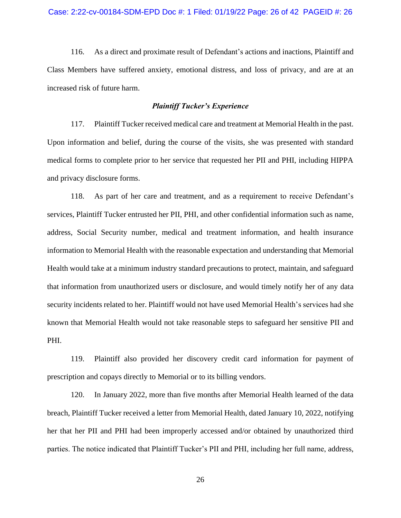116. As a direct and proximate result of Defendant's actions and inactions, Plaintiff and Class Members have suffered anxiety, emotional distress, and loss of privacy, and are at an increased risk of future harm.

# *Plaintiff Tucker's Experience*

117. Plaintiff Tucker received medical care and treatment at Memorial Health in the past. Upon information and belief, during the course of the visits, she was presented with standard medical forms to complete prior to her service that requested her PII and PHI, including HIPPA and privacy disclosure forms.

118. As part of her care and treatment, and as a requirement to receive Defendant's services, Plaintiff Tucker entrusted her PII, PHI, and other confidential information such as name, address, Social Security number, medical and treatment information, and health insurance information to Memorial Health with the reasonable expectation and understanding that Memorial Health would take at a minimum industry standard precautions to protect, maintain, and safeguard that information from unauthorized users or disclosure, and would timely notify her of any data security incidents related to her. Plaintiff would not have used Memorial Health's services had she known that Memorial Health would not take reasonable steps to safeguard her sensitive PII and PHI.

119. Plaintiff also provided her discovery credit card information for payment of prescription and copays directly to Memorial or to its billing vendors.

120. In January 2022, more than five months after Memorial Health learned of the data breach, Plaintiff Tucker received a letter from Memorial Health, dated January 10, 2022, notifying her that her PII and PHI had been improperly accessed and/or obtained by unauthorized third parties. The notice indicated that Plaintiff Tucker's PII and PHI, including her full name, address,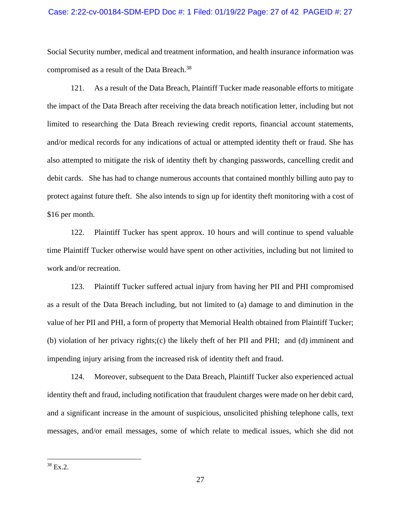## Case: 2:22-cv-00184-SDM-EPD Doc #: 1 Filed: 01/19/22 Page: 27 of 42 PAGEID #: 27

Social Security number, medical and treatment information, and health insurance information was compromised as a result of the Data Breach.<sup>38</sup>

121. As a result of the Data Breach, Plaintiff Tucker made reasonable efforts to mitigate the impact of the Data Breach after receiving the data breach notification letter, including but not limited to researching the Data Breach reviewing credit reports, financial account statements, and/or medical records for any indications of actual or attempted identity theft or fraud. She has also attempted to mitigate the risk of identity theft by changing passwords, cancelling credit and debit cards. She has had to change numerous accounts that contained monthly billing auto pay to protect against future theft. She also intends to sign up for identity theft monitoring with a cost of \$16 per month.

122. Plaintiff Tucker has spent approx. 10 hours and will continue to spend valuable time Plaintiff Tucker otherwise would have spent on other activities, including but not limited to work and/or recreation.

123. Plaintiff Tucker suffered actual injury from having her PII and PHI compromised as a result of the Data Breach including, but not limited to (a) damage to and diminution in the value of her PII and PHI, a form of property that Memorial Health obtained from Plaintiff Tucker; (b) violation of her privacy rights;(c) the likely theft of her PII and PHI; and (d) imminent and impending injury arising from the increased risk of identity theft and fraud.

124. Moreover, subsequent to the Data Breach, Plaintiff Tucker also experienced actual identity theft and fraud, including notification that fraudulent charges were made on her debit card, and a significant increase in the amount of suspicious, unsolicited phishing telephone calls, text messages, and/or email messages, some of which relate to medical issues, which she did not

 $38$  Ex.2.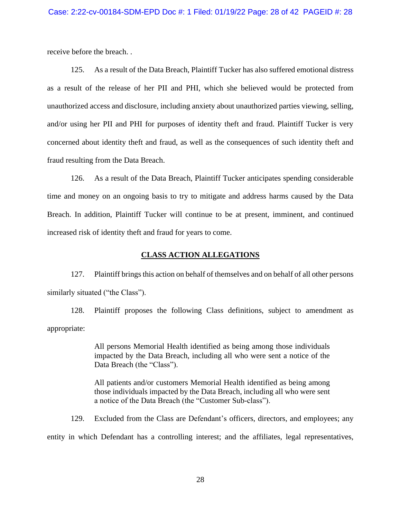receive before the breach. .

125. As a result of the Data Breach, Plaintiff Tucker has also suffered emotional distress as a result of the release of her PII and PHI, which she believed would be protected from unauthorized access and disclosure, including anxiety about unauthorized parties viewing, selling, and/or using her PII and PHI for purposes of identity theft and fraud. Plaintiff Tucker is very concerned about identity theft and fraud, as well as the consequences of such identity theft and fraud resulting from the Data Breach.

126. As a result of the Data Breach, Plaintiff Tucker anticipates spending considerable time and money on an ongoing basis to try to mitigate and address harms caused by the Data Breach. In addition, Plaintiff Tucker will continue to be at present, imminent, and continued increased risk of identity theft and fraud for years to come.

# **CLASS ACTION ALLEGATIONS**

127. Plaintiff brings this action on behalf of themselves and on behalf of all other persons similarly situated ("the Class").

128. Plaintiff proposes the following Class definitions, subject to amendment as appropriate:

> All persons Memorial Health identified as being among those individuals impacted by the Data Breach, including all who were sent a notice of the Data Breach (the "Class").

> All patients and/or customers Memorial Health identified as being among those individuals impacted by the Data Breach, including all who were sent a notice of the Data Breach (the "Customer Sub-class").

129. Excluded from the Class are Defendant's officers, directors, and employees; any entity in which Defendant has a controlling interest; and the affiliates, legal representatives,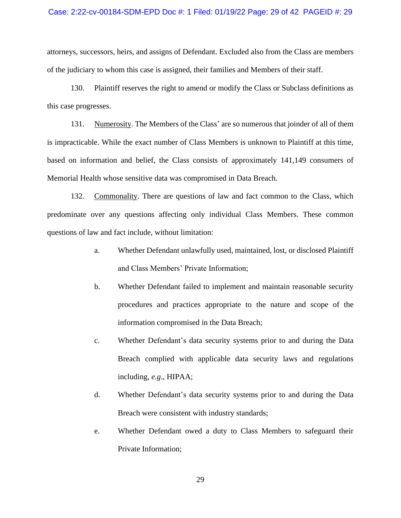## Case: 2:22-cv-00184-SDM-EPD Doc #: 1 Filed: 01/19/22 Page: 29 of 42 PAGEID #: 29

attorneys, successors, heirs, and assigns of Defendant. Excluded also from the Class are members of the judiciary to whom this case is assigned, their families and Members of their staff.

130. Plaintiff reserves the right to amend or modify the Class or Subclass definitions as this case progresses.

131. Numerosity. The Members of the Class' are so numerous that joinder of all of them is impracticable. While the exact number of Class Members is unknown to Plaintiff at this time, based on information and belief, the Class consists of approximately 141,149 consumers of Memorial Health whose sensitive data was compromised in Data Breach.

132. Commonality. There are questions of law and fact common to the Class, which predominate over any questions affecting only individual Class Members. These common questions of law and fact include, without limitation:

- a. Whether Defendant unlawfully used, maintained, lost, or disclosed Plaintiff and Class Members' Private Information;
- b. Whether Defendant failed to implement and maintain reasonable security procedures and practices appropriate to the nature and scope of the information compromised in the Data Breach;
- c. Whether Defendant's data security systems prior to and during the Data Breach complied with applicable data security laws and regulations including, *e.g*., HIPAA;
- d. Whether Defendant's data security systems prior to and during the Data Breach were consistent with industry standards;
- e. Whether Defendant owed a duty to Class Members to safeguard their Private Information;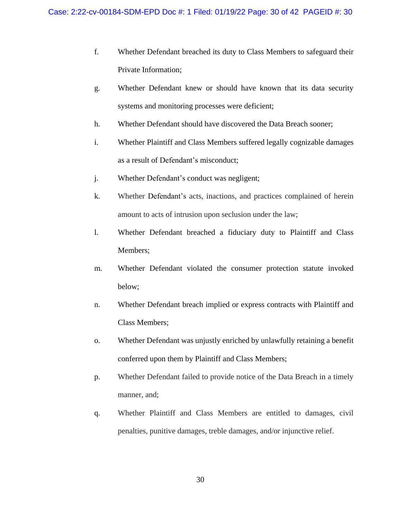- f. Whether Defendant breached its duty to Class Members to safeguard their Private Information;
- g. Whether Defendant knew or should have known that its data security systems and monitoring processes were deficient;
- h. Whether Defendant should have discovered the Data Breach sooner;
- i. Whether Plaintiff and Class Members suffered legally cognizable damages as a result of Defendant's misconduct;
- j. Whether Defendant's conduct was negligent;
- k. Whether Defendant's acts, inactions, and practices complained of herein amount to acts of intrusion upon seclusion under the law;
- l. Whether Defendant breached a fiduciary duty to Plaintiff and Class Members;
- m. Whether Defendant violated the consumer protection statute invoked below;
- n. Whether Defendant breach implied or express contracts with Plaintiff and Class Members;
- o. Whether Defendant was unjustly enriched by unlawfully retaining a benefit conferred upon them by Plaintiff and Class Members;
- p. Whether Defendant failed to provide notice of the Data Breach in a timely manner, and;
- q. Whether Plaintiff and Class Members are entitled to damages, civil penalties, punitive damages, treble damages, and/or injunctive relief.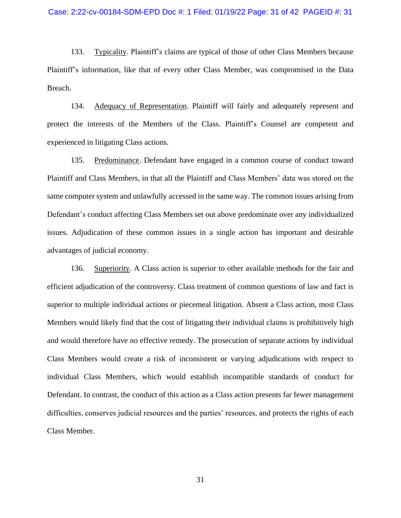133. Typicality. Plaintiff's claims are typical of those of other Class Members because Plaintiff's information, like that of every other Class Member, was compromised in the Data Breach.

134. Adequacy of Representation. Plaintiff will fairly and adequately represent and protect the interests of the Members of the Class. Plaintiff's Counsel are competent and experienced in litigating Class actions.

135. Predominance. Defendant have engaged in a common course of conduct toward Plaintiff and Class Members, in that all the Plaintiff and Class Members' data was stored on the same computer system and unlawfully accessed in the same way. The common issues arising from Defendant's conduct affecting Class Members set out above predominate over any individualized issues. Adjudication of these common issues in a single action has important and desirable advantages of judicial economy.

136. Superiority. A Class action is superior to other available methods for the fair and efficient adjudication of the controversy. Class treatment of common questions of law and fact is superior to multiple individual actions or piecemeal litigation. Absent a Class action, most Class Members would likely find that the cost of litigating their individual claims is prohibitively high and would therefore have no effective remedy. The prosecution of separate actions by individual Class Members would create a risk of inconsistent or varying adjudications with respect to individual Class Members, which would establish incompatible standards of conduct for Defendant. In contrast, the conduct of this action as a Class action presents far fewer management difficulties, conserves judicial resources and the parties' resources, and protects the rights of each Class Member.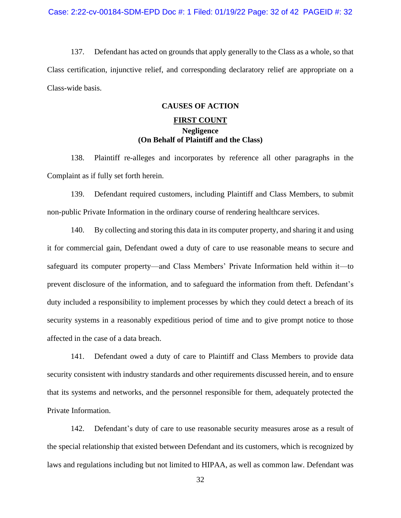137. Defendant has acted on grounds that apply generally to the Class as a whole, so that Class certification, injunctive relief, and corresponding declaratory relief are appropriate on a Class-wide basis.

# **CAUSES OF ACTION**

# **FIRST COUNT Negligence (On Behalf of Plaintiff and the Class)**

138. Plaintiff re-alleges and incorporates by reference all other paragraphs in the Complaint as if fully set forth herein.

139. Defendant required customers, including Plaintiff and Class Members, to submit non-public Private Information in the ordinary course of rendering healthcare services.

140. By collecting and storing this data in its computer property, and sharing it and using it for commercial gain, Defendant owed a duty of care to use reasonable means to secure and safeguard its computer property—and Class Members' Private Information held within it—to prevent disclosure of the information, and to safeguard the information from theft. Defendant's duty included a responsibility to implement processes by which they could detect a breach of its security systems in a reasonably expeditious period of time and to give prompt notice to those affected in the case of a data breach.

141. Defendant owed a duty of care to Plaintiff and Class Members to provide data security consistent with industry standards and other requirements discussed herein, and to ensure that its systems and networks, and the personnel responsible for them, adequately protected the Private Information.

142. Defendant's duty of care to use reasonable security measures arose as a result of the special relationship that existed between Defendant and its customers, which is recognized by laws and regulations including but not limited to HIPAA, as well as common law. Defendant was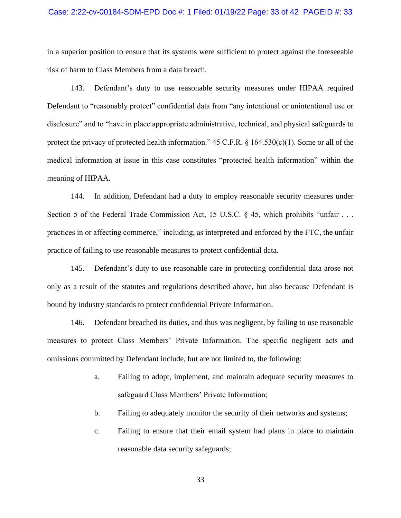## Case: 2:22-cv-00184-SDM-EPD Doc #: 1 Filed: 01/19/22 Page: 33 of 42 PAGEID #: 33

in a superior position to ensure that its systems were sufficient to protect against the foreseeable risk of harm to Class Members from a data breach.

143. Defendant's duty to use reasonable security measures under HIPAA required Defendant to "reasonably protect" confidential data from "any intentional or unintentional use or disclosure" and to "have in place appropriate administrative, technical, and physical safeguards to protect the privacy of protected health information."  $45$  C.F.R. § 164.530(c)(1). Some or all of the medical information at issue in this case constitutes "protected health information" within the meaning of HIPAA.

144. In addition, Defendant had a duty to employ reasonable security measures under Section 5 of the Federal Trade Commission Act, 15 U.S.C. § 45, which prohibits "unfair . . . practices in or affecting commerce," including, as interpreted and enforced by the FTC, the unfair practice of failing to use reasonable measures to protect confidential data.

145. Defendant's duty to use reasonable care in protecting confidential data arose not only as a result of the statutes and regulations described above, but also because Defendant is bound by industry standards to protect confidential Private Information.

146. Defendant breached its duties, and thus was negligent, by failing to use reasonable measures to protect Class Members' Private Information. The specific negligent acts and omissions committed by Defendant include, but are not limited to, the following:

- a. Failing to adopt, implement, and maintain adequate security measures to safeguard Class Members' Private Information;
- b. Failing to adequately monitor the security of their networks and systems;
- c. Failing to ensure that their email system had plans in place to maintain reasonable data security safeguards;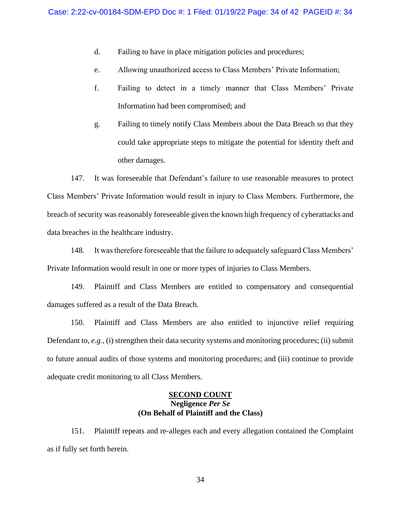- d. Failing to have in place mitigation policies and procedures;
- e. Allowing unauthorized access to Class Members' Private Information;
- f. Failing to detect in a timely manner that Class Members' Private Information had been compromised; and
- g. Failing to timely notify Class Members about the Data Breach so that they could take appropriate steps to mitigate the potential for identity theft and other damages.

147. It was foreseeable that Defendant's failure to use reasonable measures to protect Class Members' Private Information would result in injury to Class Members. Furthermore, the breach of security was reasonably foreseeable given the known high frequency of cyberattacks and data breaches in the healthcare industry.

148. It was therefore foreseeable that the failure to adequately safeguard Class Members' Private Information would result in one or more types of injuries to Class Members.

149. Plaintiff and Class Members are entitled to compensatory and consequential damages suffered as a result of the Data Breach.

150. Plaintiff and Class Members are also entitled to injunctive relief requiring Defendant to, *e.g.,* (i) strengthen their data security systems and monitoring procedures; (ii) submit to future annual audits of those systems and monitoring procedures; and (iii) continue to provide adequate credit monitoring to all Class Members.

# **SECOND COUNT Negligence** *Per Se* **(On Behalf of Plaintiff and the Class)**

151. Plaintiff repeats and re-alleges each and every allegation contained the Complaint as if fully set forth herein.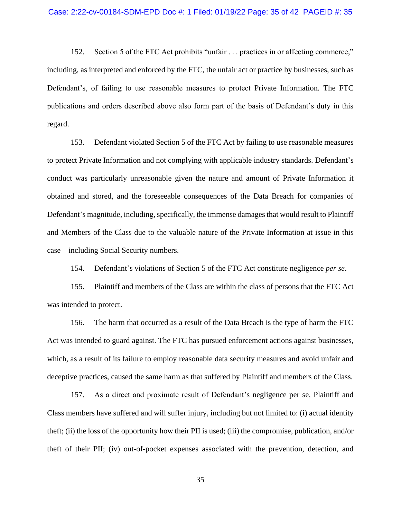152. Section 5 of the FTC Act prohibits "unfair . . . practices in or affecting commerce," including, as interpreted and enforced by the FTC, the unfair act or practice by businesses, such as Defendant's, of failing to use reasonable measures to protect Private Information. The FTC publications and orders described above also form part of the basis of Defendant's duty in this regard.

153. Defendant violated Section 5 of the FTC Act by failing to use reasonable measures to protect Private Information and not complying with applicable industry standards. Defendant's conduct was particularly unreasonable given the nature and amount of Private Information it obtained and stored, and the foreseeable consequences of the Data Breach for companies of Defendant's magnitude, including, specifically, the immense damages that would result to Plaintiff and Members of the Class due to the valuable nature of the Private Information at issue in this case—including Social Security numbers.

154. Defendant's violations of Section 5 of the FTC Act constitute negligence *per se*.

155. Plaintiff and members of the Class are within the class of persons that the FTC Act was intended to protect.

156. The harm that occurred as a result of the Data Breach is the type of harm the FTC Act was intended to guard against. The FTC has pursued enforcement actions against businesses, which, as a result of its failure to employ reasonable data security measures and avoid unfair and deceptive practices, caused the same harm as that suffered by Plaintiff and members of the Class.

157. As a direct and proximate result of Defendant's negligence per se, Plaintiff and Class members have suffered and will suffer injury, including but not limited to: (i) actual identity theft; (ii) the loss of the opportunity how their PII is used; (iii) the compromise, publication, and/or theft of their PII; (iv) out-of-pocket expenses associated with the prevention, detection, and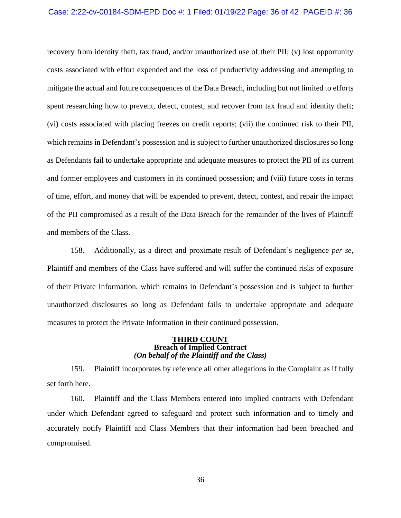#### Case: 2:22-cv-00184-SDM-EPD Doc #: 1 Filed: 01/19/22 Page: 36 of 42 PAGEID #: 36

recovery from identity theft, tax fraud, and/or unauthorized use of their PII; (v) lost opportunity costs associated with effort expended and the loss of productivity addressing and attempting to mitigate the actual and future consequences of the Data Breach, including but not limited to efforts spent researching how to prevent, detect, contest, and recover from tax fraud and identity theft; (vi) costs associated with placing freezes on credit reports; (vii) the continued risk to their PII, which remains in Defendant's possession and is subject to further unauthorized disclosures so long as Defendants fail to undertake appropriate and adequate measures to protect the PII of its current and former employees and customers in its continued possession; and (viii) future costs in terms of time, effort, and money that will be expended to prevent, detect, contest, and repair the impact of the PII compromised as a result of the Data Breach for the remainder of the lives of Plaintiff and members of the Class.

158. Additionally, as a direct and proximate result of Defendant's negligence *per se*, Plaintiff and members of the Class have suffered and will suffer the continued risks of exposure of their Private Information, which remains in Defendant's possession and is subject to further unauthorized disclosures so long as Defendant fails to undertake appropriate and adequate measures to protect the Private Information in their continued possession.

#### **THIRD COUNT Breach of Implied Contract** *(On behalf of the Plaintiff and the Class)*

159. Plaintiff incorporates by reference all other allegations in the Complaint as if fully set forth here.

160. Plaintiff and the Class Members entered into implied contracts with Defendant under which Defendant agreed to safeguard and protect such information and to timely and accurately notify Plaintiff and Class Members that their information had been breached and compromised.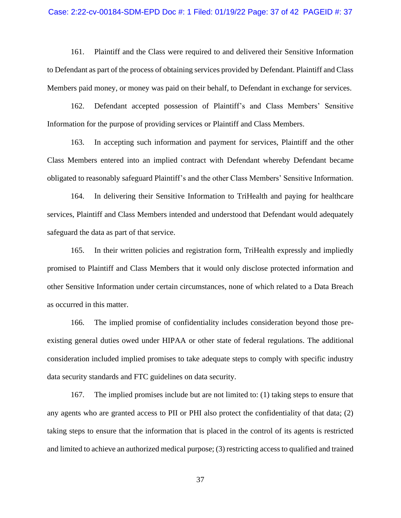#### Case: 2:22-cv-00184-SDM-EPD Doc #: 1 Filed: 01/19/22 Page: 37 of 42 PAGEID #: 37

161. Plaintiff and the Class were required to and delivered their Sensitive Information to Defendant as part of the process of obtaining services provided by Defendant. Plaintiff and Class Members paid money, or money was paid on their behalf, to Defendant in exchange for services.

162. Defendant accepted possession of Plaintiff's and Class Members' Sensitive Information for the purpose of providing services or Plaintiff and Class Members.

163. In accepting such information and payment for services, Plaintiff and the other Class Members entered into an implied contract with Defendant whereby Defendant became obligated to reasonably safeguard Plaintiff's and the other Class Members' Sensitive Information.

164. In delivering their Sensitive Information to TriHealth and paying for healthcare services, Plaintiff and Class Members intended and understood that Defendant would adequately safeguard the data as part of that service.

165. In their written policies and registration form, TriHealth expressly and impliedly promised to Plaintiff and Class Members that it would only disclose protected information and other Sensitive Information under certain circumstances, none of which related to a Data Breach as occurred in this matter.

166. The implied promise of confidentiality includes consideration beyond those preexisting general duties owed under HIPAA or other state of federal regulations. The additional consideration included implied promises to take adequate steps to comply with specific industry data security standards and FTC guidelines on data security.

167. The implied promises include but are not limited to: (1) taking steps to ensure that any agents who are granted access to PII or PHI also protect the confidentiality of that data; (2) taking steps to ensure that the information that is placed in the control of its agents is restricted and limited to achieve an authorized medical purpose; (3) restricting access to qualified and trained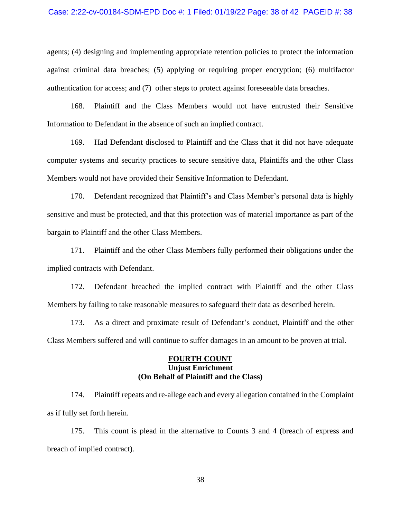#### Case: 2:22-cv-00184-SDM-EPD Doc #: 1 Filed: 01/19/22 Page: 38 of 42 PAGEID #: 38

agents; (4) designing and implementing appropriate retention policies to protect the information against criminal data breaches; (5) applying or requiring proper encryption; (6) multifactor authentication for access; and (7) other steps to protect against foreseeable data breaches.

168. Plaintiff and the Class Members would not have entrusted their Sensitive Information to Defendant in the absence of such an implied contract.

169. Had Defendant disclosed to Plaintiff and the Class that it did not have adequate computer systems and security practices to secure sensitive data, Plaintiffs and the other Class Members would not have provided their Sensitive Information to Defendant.

170. Defendant recognized that Plaintiff's and Class Member's personal data is highly sensitive and must be protected, and that this protection was of material importance as part of the bargain to Plaintiff and the other Class Members.

171. Plaintiff and the other Class Members fully performed their obligations under the implied contracts with Defendant.

172. Defendant breached the implied contract with Plaintiff and the other Class Members by failing to take reasonable measures to safeguard their data as described herein.

173. As a direct and proximate result of Defendant's conduct, Plaintiff and the other Class Members suffered and will continue to suffer damages in an amount to be proven at trial.

# **FOURTH COUNT Unjust Enrichment (On Behalf of Plaintiff and the Class)**

174. Plaintiff repeats and re-allege each and every allegation contained in the Complaint as if fully set forth herein.

175. This count is plead in the alternative to Counts 3 and 4 (breach of express and breach of implied contract).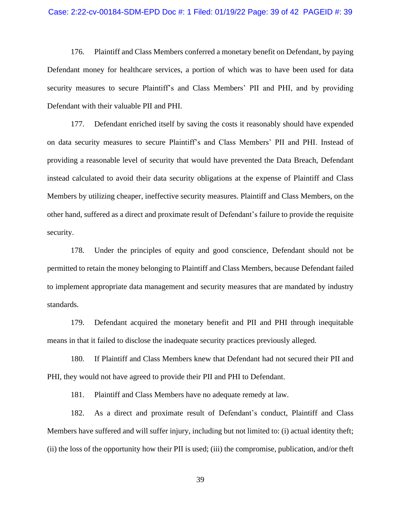#### Case: 2:22-cv-00184-SDM-EPD Doc #: 1 Filed: 01/19/22 Page: 39 of 42 PAGEID #: 39

176. Plaintiff and Class Members conferred a monetary benefit on Defendant, by paying Defendant money for healthcare services, a portion of which was to have been used for data security measures to secure Plaintiff's and Class Members' PII and PHI, and by providing Defendant with their valuable PII and PHI.

177. Defendant enriched itself by saving the costs it reasonably should have expended on data security measures to secure Plaintiff's and Class Members' PII and PHI. Instead of providing a reasonable level of security that would have prevented the Data Breach, Defendant instead calculated to avoid their data security obligations at the expense of Plaintiff and Class Members by utilizing cheaper, ineffective security measures. Plaintiff and Class Members, on the other hand, suffered as a direct and proximate result of Defendant's failure to provide the requisite security.

178. Under the principles of equity and good conscience, Defendant should not be permitted to retain the money belonging to Plaintiff and Class Members, because Defendant failed to implement appropriate data management and security measures that are mandated by industry standards.

179. Defendant acquired the monetary benefit and PII and PHI through inequitable means in that it failed to disclose the inadequate security practices previously alleged.

180. If Plaintiff and Class Members knew that Defendant had not secured their PII and PHI, they would not have agreed to provide their PII and PHI to Defendant.

181. Plaintiff and Class Members have no adequate remedy at law.

182. As a direct and proximate result of Defendant's conduct, Plaintiff and Class Members have suffered and will suffer injury, including but not limited to: (i) actual identity theft; (ii) the loss of the opportunity how their PII is used; (iii) the compromise, publication, and/or theft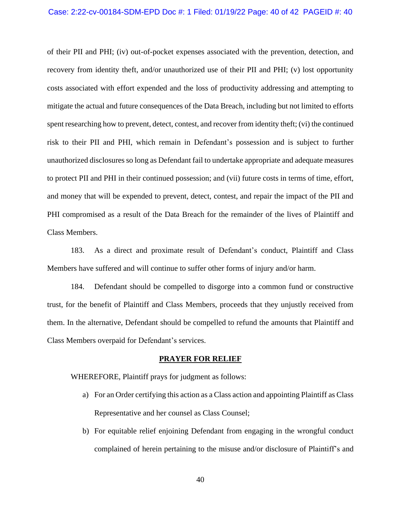#### Case: 2:22-cv-00184-SDM-EPD Doc #: 1 Filed: 01/19/22 Page: 40 of 42 PAGEID #: 40

of their PII and PHI; (iv) out-of-pocket expenses associated with the prevention, detection, and recovery from identity theft, and/or unauthorized use of their PII and PHI; (v) lost opportunity costs associated with effort expended and the loss of productivity addressing and attempting to mitigate the actual and future consequences of the Data Breach, including but not limited to efforts spent researching how to prevent, detect, contest, and recover from identity theft; (vi) the continued risk to their PII and PHI, which remain in Defendant's possession and is subject to further unauthorized disclosures so long as Defendant fail to undertake appropriate and adequate measures to protect PII and PHI in their continued possession; and (vii) future costs in terms of time, effort, and money that will be expended to prevent, detect, contest, and repair the impact of the PII and PHI compromised as a result of the Data Breach for the remainder of the lives of Plaintiff and Class Members.

183. As a direct and proximate result of Defendant's conduct, Plaintiff and Class Members have suffered and will continue to suffer other forms of injury and/or harm.

184. Defendant should be compelled to disgorge into a common fund or constructive trust, for the benefit of Plaintiff and Class Members, proceeds that they unjustly received from them. In the alternative, Defendant should be compelled to refund the amounts that Plaintiff and Class Members overpaid for Defendant's services.

# **PRAYER FOR RELIEF**

WHEREFORE, Plaintiff prays for judgment as follows:

- a) For an Order certifying this action as a Class action and appointing Plaintiff as Class Representative and her counsel as Class Counsel;
- b) For equitable relief enjoining Defendant from engaging in the wrongful conduct complained of herein pertaining to the misuse and/or disclosure of Plaintiff's and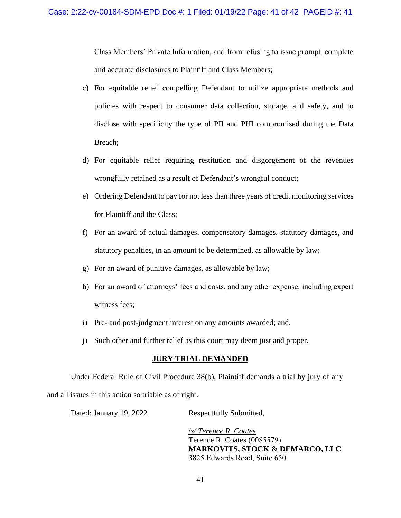Class Members' Private Information, and from refusing to issue prompt, complete and accurate disclosures to Plaintiff and Class Members;

- c) For equitable relief compelling Defendant to utilize appropriate methods and policies with respect to consumer data collection, storage, and safety, and to disclose with specificity the type of PII and PHI compromised during the Data Breach;
- d) For equitable relief requiring restitution and disgorgement of the revenues wrongfully retained as a result of Defendant's wrongful conduct;
- e) Ordering Defendant to pay for not less than three years of credit monitoring services for Plaintiff and the Class;
- f) For an award of actual damages, compensatory damages, statutory damages, and statutory penalties, in an amount to be determined, as allowable by law;
- g) For an award of punitive damages, as allowable by law;
- h) For an award of attorneys' fees and costs, and any other expense, including expert witness fees;
- i) Pre- and post-judgment interest on any amounts awarded; and,
- j) Such other and further relief as this court may deem just and proper.

# **JURY TRIAL DEMANDED**

Under Federal Rule of Civil Procedure 38(b), Plaintiff demands a trial by jury of any and all issues in this action so triable as of right.

| Dated: January 19, 2022 | Respectfully Submitted,      |
|-------------------------|------------------------------|
|                         | $\sqrt{s}$ Terence R. Coates |

Terence R. Coates (0085579) **MARKOVITS, STOCK & DEMARCO, LLC** 3825 Edwards Road, Suite 650